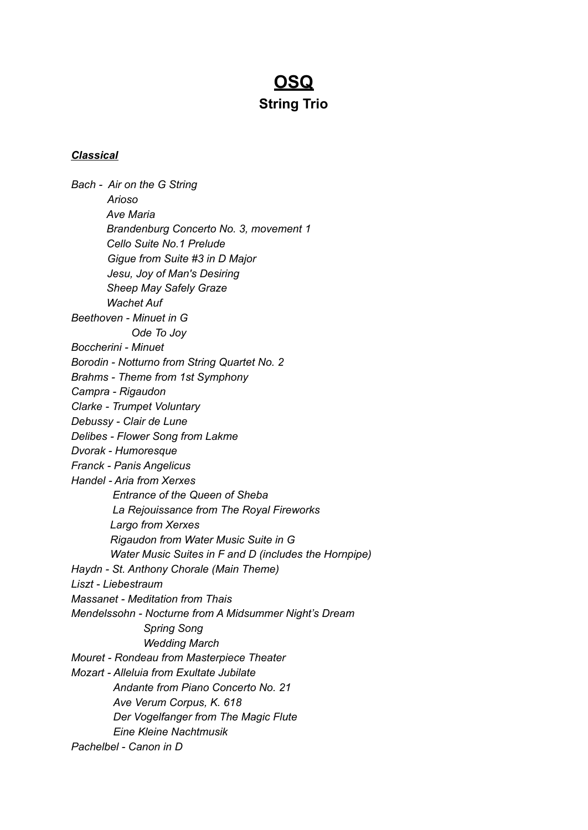# **OSQ String Trio**

### *Classical*

*Bach - Air on the G String Arioso Ave Maria Brandenburg Concerto No. 3, movement 1 Cello Suite No.1 Prelude Gigue from Suite #3 in D Major Jesu, Joy of Man's Desiring Sheep May Safely Graze Wachet Auf Beethoven - Minuet in G Ode To Joy Boccherini - Minuet Borodin - Notturno from String Quartet No. 2 Brahms - Theme from 1st Symphony Campra - Rigaudon Clarke - Trumpet Voluntary Debussy - Clair de Lune Delibes - Flower Song from Lakme Dvorak - Humoresque Franck - Panis Angelicus Handel - Aria from Xerxes Entrance of the Queen of Sheba La Rejouissance from The Royal Fireworks Largo from Xerxes Rigaudon from Water Music Suite in G Water Music Suites in F and D (includes the Hornpipe) Haydn - St. Anthony Chorale (Main Theme) Liszt - Liebestraum Massanet - Meditation from Thais Mendelssohn - Nocturne from A Midsummer Night's Dream Spring Song Wedding March Mouret - Rondeau from Masterpiece Theater Mozart - Alleluia from Exultate Jubilate Andante from Piano Concerto No. 21 Ave Verum Corpus, K. 618 Der Vogelfanger from The Magic Flute Eine Kleine Nachtmusik Pachelbel - Canon in D*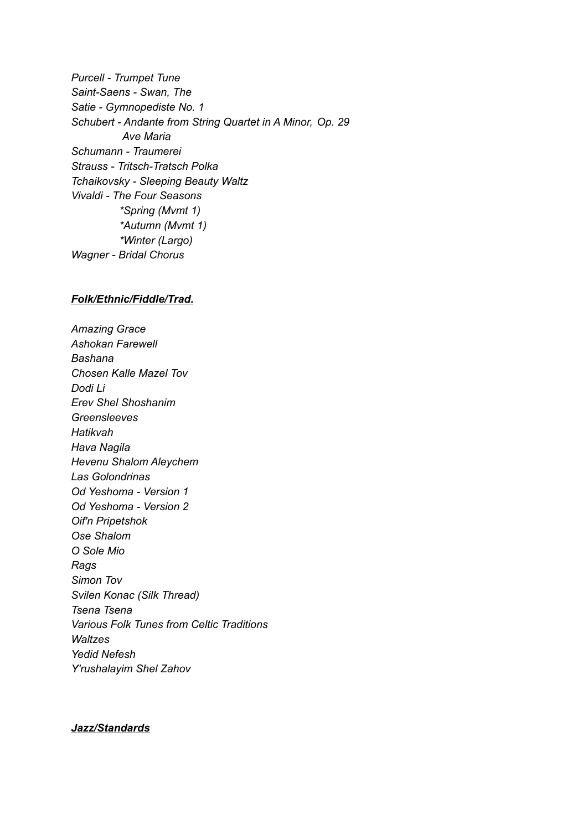*Purcell - Trumpet Tune Saint-Saens - Swan, The Satie - Gymnopediste No. 1 Schubert - Andante from String Quartet in A Minor, Op. 29 Ave Maria Schumann - Traumerei Strauss - Tritsch-Tratsch Polka Tchaikovsky - Sleeping Beauty Waltz Vivaldi - The Four Seasons \*Spring (Mvmt 1) \*Autumn (Mvmt 1) \*Winter (Largo) Wagner - Bridal Chorus*

#### *Folk/Ethnic/Fiddle/Trad.*

*Amazing Grace Ashokan Farewell Bashana Chosen Kalle Mazel Tov Dodi Li Erev Shel Shoshanim Greensleeves Hatikvah Hava Nagila Hevenu Shalom Aleychem Las Golondrinas Od Yeshoma - Version 1 Od Yeshoma - Version 2 Oif'n Pripetshok Ose Shalom O Sole Mio Rags Simon Tov Svilen Konac (Silk Thread) Tsena Tsena Various Folk Tunes from Celtic Traditions Waltzes Yedid Nefesh Y'rushalayim Shel Zahov*

#### *Jazz/Standards*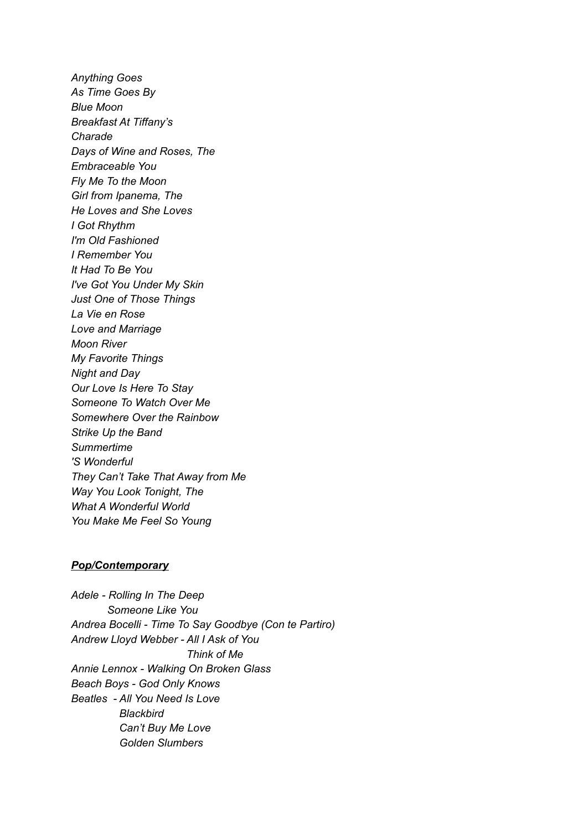*Anything Goes As Time Goes By Blue Moon Breakfast At Tiffany's Charade Days of Wine and Roses, The Embraceable You Fly Me To the Moon Girl from Ipanema, The He Loves and She Loves I Got Rhythm I'm Old Fashioned I Remember You It Had To Be You I've Got You Under My Skin Just One of Those Things La Vie en Rose Love and Marriage Moon River My Favorite Things Night and Day Our Love Is Here To Stay Someone To Watch Over Me Somewhere Over the Rainbow Strike Up the Band Summertime 'S Wonderful They Can't Take That Away from Me Way You Look Tonight, The What A Wonderful World You Make Me Feel So Young*

#### *Pop/Contemporary*

*Adele - Rolling In The Deep Someone Like You Andrea Bocelli - Time To Say Goodbye (Con te Partiro) Andrew Lloyd Webber - All I Ask of You Think of Me Annie Lennox - Walking On Broken Glass Beach Boys - God Only Knows Beatles - All You Need Is Love Blackbird Can't Buy Me Love Golden Slumbers*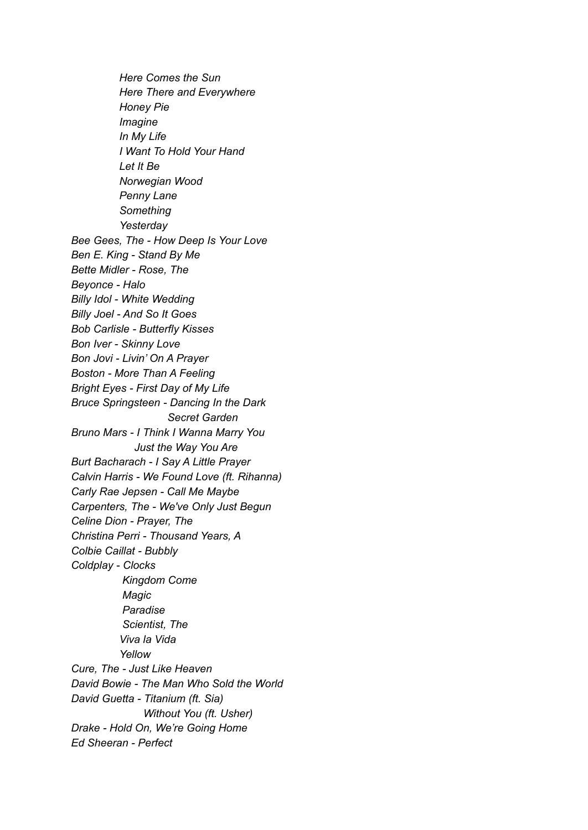*Here Comes the Sun Here There and Everywhere Honey Pie Imagine In My Life I Want To Hold Your Hand Let It Be Norwegian Wood Penny Lane Something Yesterday Bee Gees, The - How Deep Is Your Love Ben E. King - Stand By Me Bette Midler - Rose, The Beyonce - Halo Billy Idol - White Wedding Billy Joel - And So It Goes Bob Carlisle - Butterfly Kisses Bon Iver - Skinny Love Bon Jovi - Livin' On A Prayer Boston - More Than A Feeling Bright Eyes - First Day of My Life Bruce Springsteen - Dancing In the Dark Secret Garden Bruno Mars - I Think I Wanna Marry You Just the Way You Are Burt Bacharach - I Say A Little Prayer Calvin Harris - We Found Love (ft. Rihanna) Carly Rae Jepsen - Call Me Maybe Carpenters, The - We've Only Just Begun Celine Dion - Prayer, The Christina Perri - Thousand Years, A Colbie Caillat - Bubbly Coldplay - Clocks Kingdom Come Magic Paradise Scientist, The Viva la Vida Yellow Cure, The - Just Like Heaven David Bowie - The Man Who Sold the World David Guetta - Titanium (ft. Sia) Without You (ft. Usher) Drake - Hold On, We're Going Home Ed Sheeran - Perfect*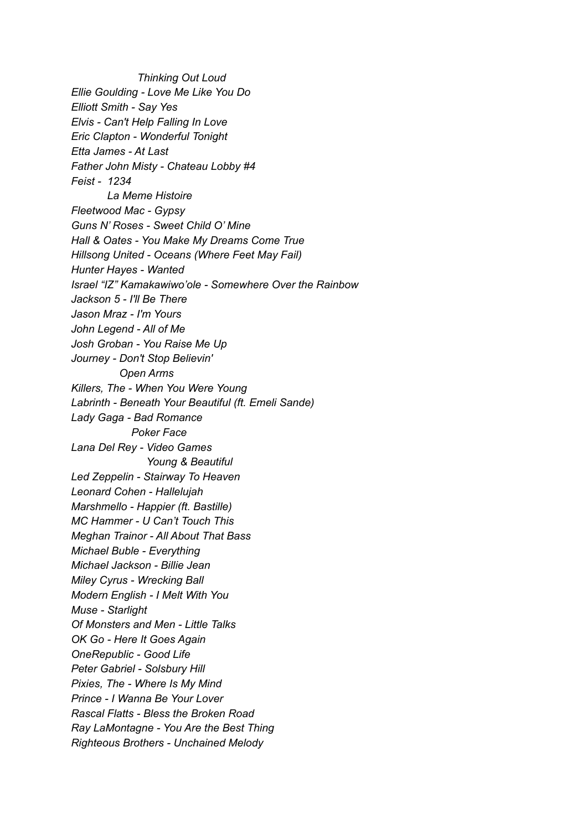*Thinking Out Loud Ellie Goulding - Love Me Like You Do Elliott Smith - Say Yes Elvis - Can't Help Falling In Love Eric Clapton - Wonderful Tonight Etta James - At Last Father John Misty - Chateau Lobby #4 Feist - 1234 La Meme Histoire Fleetwood Mac - Gypsy Guns N' Roses - Sweet Child O' Mine Hall & Oates - You Make My Dreams Come True Hillsong United - Oceans (Where Feet May Fail) Hunter Hayes - Wanted Israel "IZ" Kamakawiwo'ole - Somewhere Over the Rainbow Jackson 5 - I'll Be There Jason Mraz - I'm Yours John Legend - All of Me Josh Groban - You Raise Me Up Journey - Don't Stop Believin' Open Arms Killers, The - When You Were Young Labrinth - Beneath Your Beautiful (ft. Emeli Sande) Lady Gaga - Bad Romance Poker Face Lana Del Rey - Video Games Young & Beautiful Led Zeppelin - Stairway To Heaven Leonard Cohen - Hallelujah Marshmello - Happier (ft. Bastille) MC Hammer - U Can't Touch This Meghan Trainor - All About That Bass Michael Buble - Everything Michael Jackson - Billie Jean Miley Cyrus - Wrecking Ball Modern English - I Melt With You Muse - Starlight Of Monsters and Men - Little Talks OK Go - Here It Goes Again OneRepublic - Good Life Peter Gabriel - Solsbury Hill Pixies, The - Where Is My Mind Prince - I Wanna Be Your Lover Rascal Flatts - Bless the Broken Road Ray LaMontagne - You Are the Best Thing Righteous Brothers - Unchained Melody*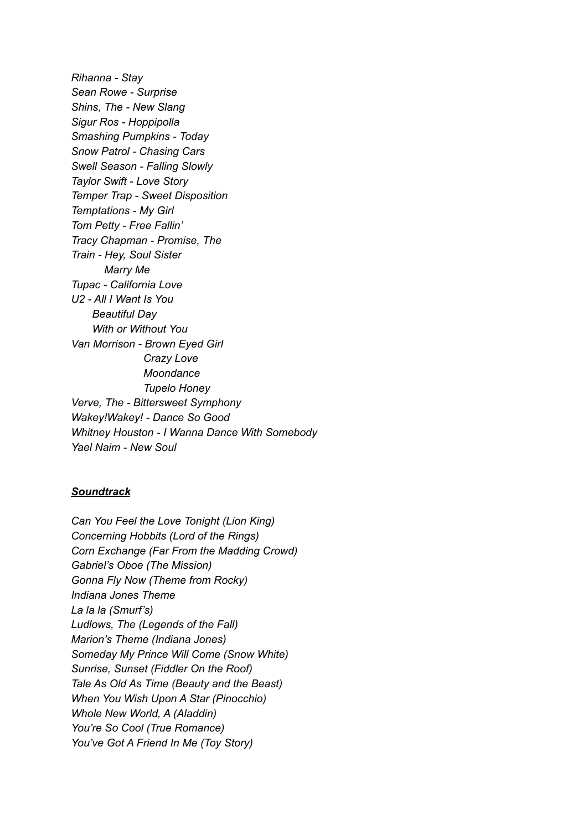*Rihanna - Stay Sean Rowe - Surprise Shins, The - New Slang Sigur Ros - Hoppipolla Smashing Pumpkins - Today Snow Patrol - Chasing Cars Swell Season - Falling Slowly Taylor Swift - Love Story Temper Trap - Sweet Disposition Temptations - My Girl Tom Petty - Free Fallin' Tracy Chapman - Promise, The Train - Hey, Soul Sister Marry Me Tupac - California Love U2 - All I Want Is You Beautiful Day With or Without You Van Morrison - Brown Eyed Girl Crazy Love Moondance Tupelo Honey Verve, The - Bittersweet Symphony Wakey!Wakey! - Dance So Good Whitney Houston - I Wanna Dance With Somebody Yael Naim - New Soul*

## *Soundtrack*

*Can You Feel the Love Tonight (Lion King) Concerning Hobbits (Lord of the Rings) Corn Exchange (Far From the Madding Crowd) Gabriel's Oboe (The Mission) Gonna Fly Now (Theme from Rocky) Indiana Jones Theme La la la (Smurf's) Ludlows, The (Legends of the Fall) Marion's Theme (Indiana Jones) Someday My Prince Will Come (Snow White) Sunrise, Sunset (Fiddler On the Roof) Tale As Old As Time (Beauty and the Beast) When You Wish Upon A Star (Pinocchio) Whole New World, A (Aladdin) You're So Cool (True Romance) You've Got A Friend In Me (Toy Story)*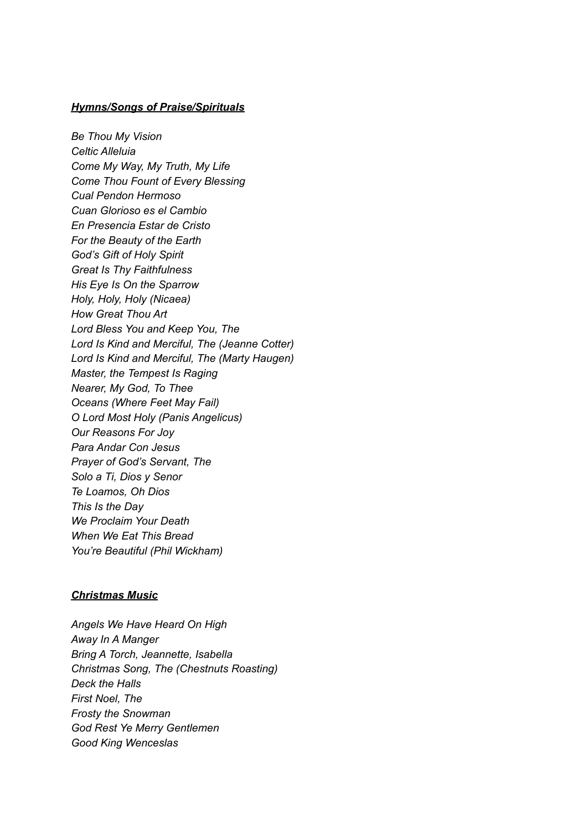#### *Hymns/Songs of Praise/Spirituals*

*Be Thou My Vision Celtic Alleluia Come My Way, My Truth, My Life Come Thou Fount of Every Blessing Cual Pendon Hermoso Cuan Glorioso es el Cambio En Presencia Estar de Cristo For the Beauty of the Earth God's Gift of Holy Spirit Great Is Thy Faithfulness His Eye Is On the Sparrow Holy, Holy, Holy (Nicaea) How Great Thou Art Lord Bless You and Keep You, The Lord Is Kind and Merciful, The (Jeanne Cotter) Lord Is Kind and Merciful, The (Marty Haugen) Master, the Tempest Is Raging Nearer, My God, To Thee Oceans (Where Feet May Fail) O Lord Most Holy (Panis Angelicus) Our Reasons For Joy Para Andar Con Jesus Prayer of God's Servant, The Solo a Ti, Dios y Senor Te Loamos, Oh Dios This Is the Day We Proclaim Your Death When We Eat This Bread You're Beautiful (Phil Wickham)*

#### *Christmas Music*

*Angels We Have Heard On High Away In A Manger Bring A Torch, Jeannette, Isabella Christmas Song, The (Chestnuts Roasting) Deck the Halls First Noel, The Frosty the Snowman God Rest Ye Merry Gentlemen Good King Wenceslas*